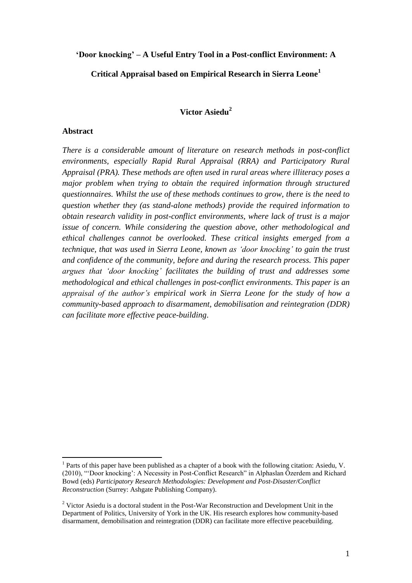### **'Door knocking' – A Useful Entry Tool in a Post-conflict Environment: A**

**Critical Appraisal based on Empirical Research in Sierra Leone<sup>1</sup>**

# **Victor Asiedu<sup>2</sup>**

#### **Abstract**

<u>.</u>

*There is a considerable amount of literature on research methods in post-conflict environments, especially Rapid Rural Appraisal (RRA) and Participatory Rural Appraisal (PRA). These methods are often used in rural areas where illiteracy poses a major problem when trying to obtain the required information through structured questionnaires. Whilst the use of these methods continues to grow, there is the need to question whether they (as stand-alone methods) provide the required information to obtain research validity in post-conflict environments, where lack of trust is a major issue of concern. While considering the question above, other methodological and ethical challenges cannot be overlooked. These critical insights emerged from a technique, that was used in Sierra Leone, known as 'door knocking' to gain the trust and confidence of the community, before and during the research process. This paper argues that 'door knocking' facilitates the building of trust and addresses some methodological and ethical challenges in post-conflict environments. This paper is an appraisal of the author's empirical work in Sierra Leone for the study of how a community-based approach to disarmament, demobilisation and reintegration (DDR) can facilitate more effective peace-building*.

<sup>&</sup>lt;sup>1</sup> Parts of this paper have been published as a chapter of a book with the following citation: Asiedu, V. (2010), ""Door knocking": A Necessity in Post-Conflict Research" in Alphaslan Özerdem and Richard Bowd (eds) *Participatory Research Methodologies: Development and Post-Disaster/Conflict Reconstruction* (Surrey: Ashgate Publishing Company).

<sup>&</sup>lt;sup>2</sup> Victor Asiedu is a doctoral student in the Post-War Reconstruction and Development Unit in the Department of Politics, University of York in the UK. His research explores how community-based disarmament, demobilisation and reintegration (DDR) can facilitate more effective peacebuilding.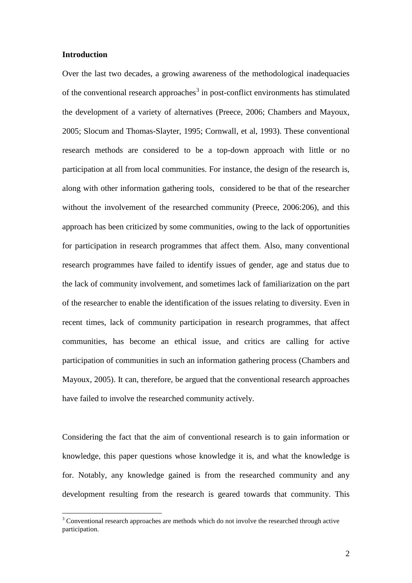# **Introduction**

<u>.</u>

Over the last two decades, a growing awareness of the methodological inadequacies of the conventional research approaches<sup>3</sup> in post-conflict environments has stimulated the development of a variety of alternatives (Preece, 2006; Chambers and Mayoux, 2005; Slocum and Thomas-Slayter, 1995; Cornwall, et al, 1993). These conventional research methods are considered to be a top-down approach with little or no participation at all from local communities. For instance, the design of the research is, along with other information gathering tools, considered to be that of the researcher without the involvement of the researched community (Preece, 2006:206), and this approach has been criticized by some communities, owing to the lack of opportunities for participation in research programmes that affect them. Also, many conventional research programmes have failed to identify issues of gender, age and status due to the lack of community involvement, and sometimes lack of familiarization on the part of the researcher to enable the identification of the issues relating to diversity. Even in recent times, lack of community participation in research programmes, that affect communities, has become an ethical issue, and critics are calling for active participation of communities in such an information gathering process (Chambers and Mayoux, 2005). It can, therefore, be argued that the conventional research approaches have failed to involve the researched community actively.

Considering the fact that the aim of conventional research is to gain information or knowledge, this paper questions whose knowledge it is, and what the knowledge is for. Notably, any knowledge gained is from the researched community and any development resulting from the research is geared towards that community. This

 $3$  Conventional research approaches are methods which do not involve the researched through active participation.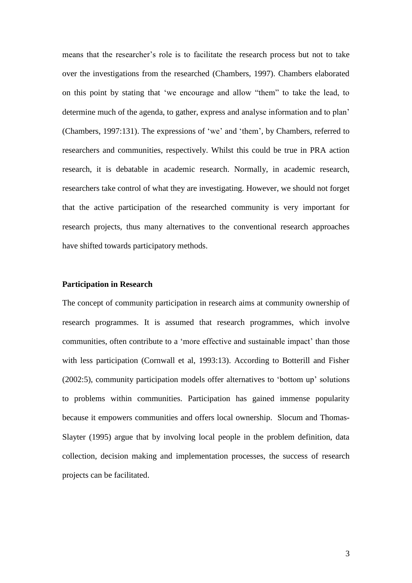means that the researcher"s role is to facilitate the research process but not to take over the investigations from the researched (Chambers, 1997). Chambers elaborated on this point by stating that "we encourage and allow "them" to take the lead, to determine much of the agenda, to gather, express and analyse information and to plan" (Chambers, 1997:131). The expressions of "we" and "them", by Chambers, referred to researchers and communities, respectively. Whilst this could be true in PRA action research, it is debatable in academic research. Normally, in academic research, researchers take control of what they are investigating. However, we should not forget that the active participation of the researched community is very important for research projects, thus many alternatives to the conventional research approaches have shifted towards participatory methods.

# **Participation in Research**

The concept of community participation in research aims at community ownership of research programmes. It is assumed that research programmes, which involve communities, often contribute to a 'more effective and sustainable impact' than those with less participation (Cornwall et al, 1993:13). According to Botterill and Fisher (2002:5), community participation models offer alternatives to "bottom up" solutions to problems within communities. Participation has gained immense popularity because it empowers communities and offers local ownership. Slocum and Thomas-Slayter (1995) argue that by involving local people in the problem definition, data collection, decision making and implementation processes, the success of research projects can be facilitated.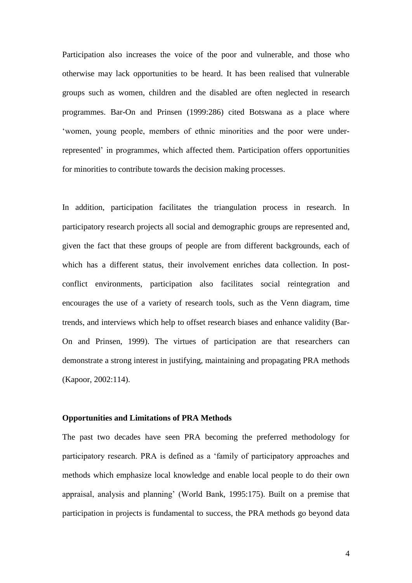Participation also increases the voice of the poor and vulnerable, and those who otherwise may lack opportunities to be heard. It has been realised that vulnerable groups such as women, children and the disabled are often neglected in research programmes. Bar-On and Prinsen (1999:286) cited Botswana as a place where 'women, young people, members of ethnic minorities and the poor were underrepresented" in programmes, which affected them. Participation offers opportunities for minorities to contribute towards the decision making processes.

In addition, participation facilitates the triangulation process in research. In participatory research projects all social and demographic groups are represented and, given the fact that these groups of people are from different backgrounds, each of which has a different status, their involvement enriches data collection. In postconflict environments, participation also facilitates social reintegration and encourages the use of a variety of research tools, such as the Venn diagram, time trends, and interviews which help to offset research biases and enhance validity (Bar-On and Prinsen, 1999). The virtues of participation are that researchers can demonstrate a strong interest in justifying, maintaining and propagating PRA methods (Kapoor, 2002:114).

#### **Opportunities and Limitations of PRA Methods**

The past two decades have seen PRA becoming the preferred methodology for participatory research. PRA is defined as a "family of participatory approaches and methods which emphasize local knowledge and enable local people to do their own appraisal, analysis and planning" (World Bank, 1995:175). Built on a premise that participation in projects is fundamental to success, the PRA methods go beyond data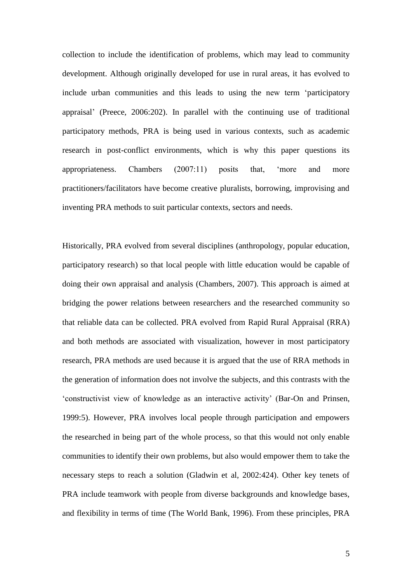collection to include the identification of problems, which may lead to community development. Although originally developed for use in rural areas, it has evolved to include urban communities and this leads to using the new term "participatory appraisal" (Preece, 2006:202). In parallel with the continuing use of traditional participatory methods, PRA is being used in various contexts, such as academic research in post-conflict environments, which is why this paper questions its appropriateness. Chambers (2007:11) posits that, "more and more practitioners/facilitators have become creative pluralists, borrowing, improvising and inventing PRA methods to suit particular contexts, sectors and needs.

Historically, PRA evolved from several disciplines (anthropology, popular education, participatory research) so that local people with little education would be capable of doing their own appraisal and analysis (Chambers, 2007). This approach is aimed at bridging the power relations between researchers and the researched community so that reliable data can be collected. PRA evolved from Rapid Rural Appraisal (RRA) and both methods are associated with visualization, however in most participatory research, PRA methods are used because it is argued that the use of RRA methods in the generation of information does not involve the subjects, and this contrasts with the "constructivist view of knowledge as an interactive activity" (Bar-On and Prinsen, 1999:5). However, PRA involves local people through participation and empowers the researched in being part of the whole process, so that this would not only enable communities to identify their own problems, but also would empower them to take the necessary steps to reach a solution (Gladwin et al, 2002:424). Other key tenets of PRA include teamwork with people from diverse backgrounds and knowledge bases, and flexibility in terms of time (The World Bank, 1996). From these principles, PRA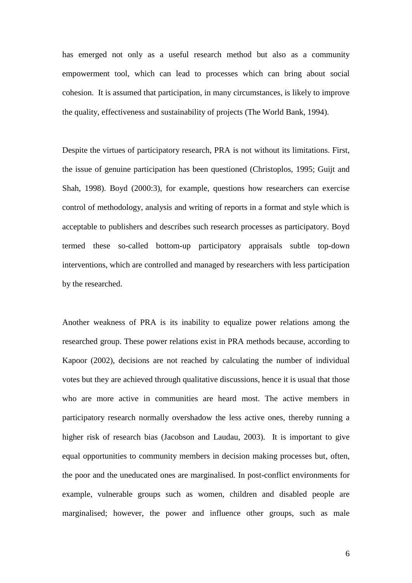has emerged not only as a useful research method but also as a community empowerment tool, which can lead to processes which can bring about social cohesion. It is assumed that participation, in many circumstances, is likely to improve the quality, effectiveness and sustainability of projects (The World Bank, 1994).

Despite the virtues of participatory research, PRA is not without its limitations. First, the issue of genuine participation has been questioned (Christoplos, 1995; Guijt and Shah, 1998). Boyd (2000:3), for example, questions how researchers can exercise control of methodology, analysis and writing of reports in a format and style which is acceptable to publishers and describes such research processes as participatory. Boyd termed these so-called bottom-up participatory appraisals subtle top-down interventions, which are controlled and managed by researchers with less participation by the researched.

Another weakness of PRA is its inability to equalize power relations among the researched group. These power relations exist in PRA methods because, according to Kapoor (2002), decisions are not reached by calculating the number of individual votes but they are achieved through qualitative discussions, hence it is usual that those who are more active in communities are heard most. The active members in participatory research normally overshadow the less active ones, thereby running a higher risk of research bias (Jacobson and Laudau, 2003). It is important to give equal opportunities to community members in decision making processes but, often, the poor and the uneducated ones are marginalised. In post-conflict environments for example, vulnerable groups such as women, children and disabled people are marginalised; however, the power and influence other groups, such as male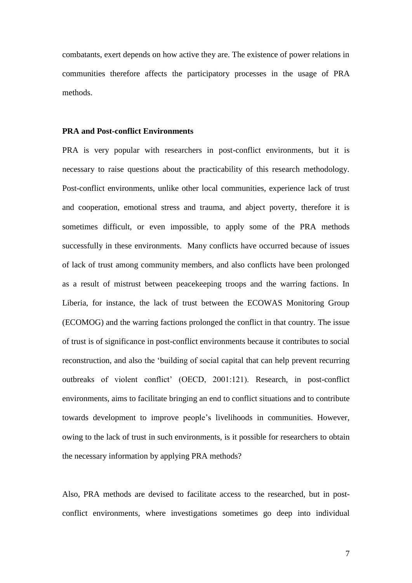combatants, exert depends on how active they are. The existence of power relations in communities therefore affects the participatory processes in the usage of PRA methods.

#### **PRA and Post-conflict Environments**

PRA is very popular with researchers in post-conflict environments, but it is necessary to raise questions about the practicability of this research methodology. Post-conflict environments, unlike other local communities, experience lack of trust and cooperation, emotional stress and trauma, and abject poverty, therefore it is sometimes difficult, or even impossible, to apply some of the PRA methods successfully in these environments. Many conflicts have occurred because of issues of lack of trust among community members, and also conflicts have been prolonged as a result of mistrust between peacekeeping troops and the warring factions. In Liberia, for instance, the lack of trust between the ECOWAS Monitoring Group (ECOMOG) and the warring factions prolonged the conflict in that country. The issue of trust is of significance in post-conflict environments because it contributes to social reconstruction, and also the "building of social capital that can help prevent recurring outbreaks of violent conflict" (OECD, 2001:121). Research, in post-conflict environments, aims to facilitate bringing an end to conflict situations and to contribute towards development to improve people"s livelihoods in communities. However, owing to the lack of trust in such environments, is it possible for researchers to obtain the necessary information by applying PRA methods?

Also, PRA methods are devised to facilitate access to the researched, but in postconflict environments, where investigations sometimes go deep into individual

7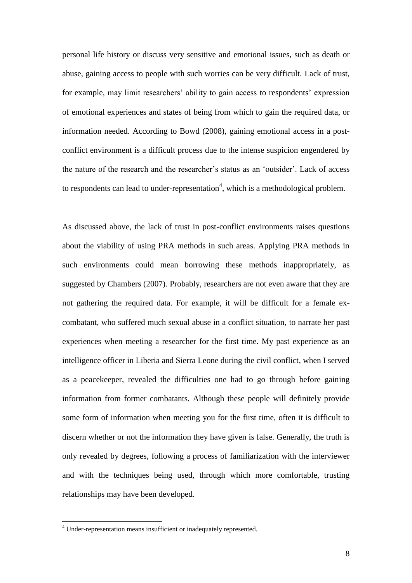personal life history or discuss very sensitive and emotional issues, such as death or abuse, gaining access to people with such worries can be very difficult. Lack of trust, for example, may limit researchers' ability to gain access to respondents' expression of emotional experiences and states of being from which to gain the required data, or information needed. According to Bowd (2008), gaining emotional access in a postconflict environment is a difficult process due to the intense suspicion engendered by the nature of the research and the researcher"s status as an "outsider". Lack of access to respondents can lead to under-representation<sup>4</sup>, which is a methodological problem.

As discussed above, the lack of trust in post-conflict environments raises questions about the viability of using PRA methods in such areas. Applying PRA methods in such environments could mean borrowing these methods inappropriately, as suggested by Chambers (2007). Probably, researchers are not even aware that they are not gathering the required data. For example, it will be difficult for a female excombatant, who suffered much sexual abuse in a conflict situation, to narrate her past experiences when meeting a researcher for the first time. My past experience as an intelligence officer in Liberia and Sierra Leone during the civil conflict, when I served as a peacekeeper, revealed the difficulties one had to go through before gaining information from former combatants. Although these people will definitely provide some form of information when meeting you for the first time, often it is difficult to discern whether or not the information they have given is false. Generally, the truth is only revealed by degrees, following a process of familiarization with the interviewer and with the techniques being used, through which more comfortable, trusting relationships may have been developed.

1

<sup>4</sup> Under-representation means insufficient or inadequately represented.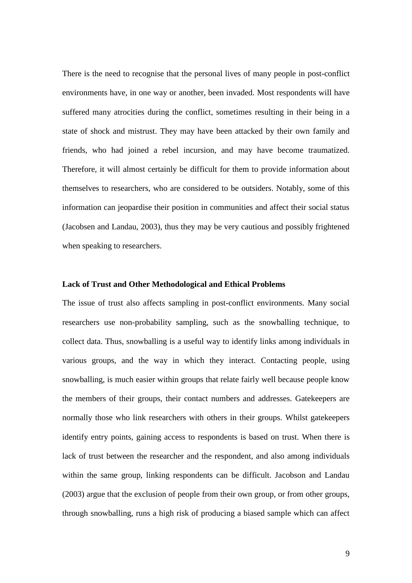There is the need to recognise that the personal lives of many people in post-conflict environments have, in one way or another, been invaded. Most respondents will have suffered many atrocities during the conflict, sometimes resulting in their being in a state of shock and mistrust. They may have been attacked by their own family and friends, who had joined a rebel incursion, and may have become traumatized. Therefore, it will almost certainly be difficult for them to provide information about themselves to researchers, who are considered to be outsiders. Notably, some of this information can jeopardise their position in communities and affect their social status (Jacobsen and Landau, 2003), thus they may be very cautious and possibly frightened when speaking to researchers.

## **Lack of Trust and Other Methodological and Ethical Problems**

The issue of trust also affects sampling in post-conflict environments. Many social researchers use non-probability sampling, such as the snowballing technique, to collect data. Thus, snowballing is a useful way to identify links among individuals in various groups, and the way in which they interact. Contacting people, using snowballing, is much easier within groups that relate fairly well because people know the members of their groups, their contact numbers and addresses. Gatekeepers are normally those who link researchers with others in their groups. Whilst gatekeepers identify entry points, gaining access to respondents is based on trust. When there is lack of trust between the researcher and the respondent, and also among individuals within the same group, linking respondents can be difficult. Jacobson and Landau (2003) argue that the exclusion of people from their own group, or from other groups, through snowballing, runs a high risk of producing a biased sample which can affect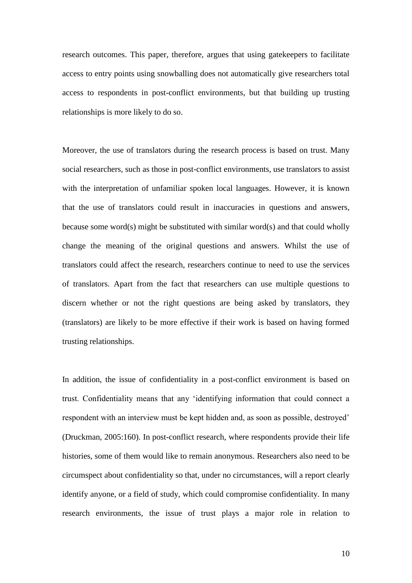research outcomes. This paper, therefore, argues that using gatekeepers to facilitate access to entry points using snowballing does not automatically give researchers total access to respondents in post-conflict environments, but that building up trusting relationships is more likely to do so.

Moreover, the use of translators during the research process is based on trust. Many social researchers, such as those in post-conflict environments, use translators to assist with the interpretation of unfamiliar spoken local languages. However, it is known that the use of translators could result in inaccuracies in questions and answers, because some word(s) might be substituted with similar word(s) and that could wholly change the meaning of the original questions and answers. Whilst the use of translators could affect the research, researchers continue to need to use the services of translators. Apart from the fact that researchers can use multiple questions to discern whether or not the right questions are being asked by translators, they (translators) are likely to be more effective if their work is based on having formed trusting relationships.

In addition, the issue of confidentiality in a post-conflict environment is based on trust. Confidentiality means that any "identifying information that could connect a respondent with an interview must be kept hidden and, as soon as possible, destroyed" (Druckman, 2005:160). In post-conflict research, where respondents provide their life histories, some of them would like to remain anonymous. Researchers also need to be circumspect about confidentiality so that, under no circumstances, will a report clearly identify anyone, or a field of study, which could compromise confidentiality. In many research environments, the issue of trust plays a major role in relation to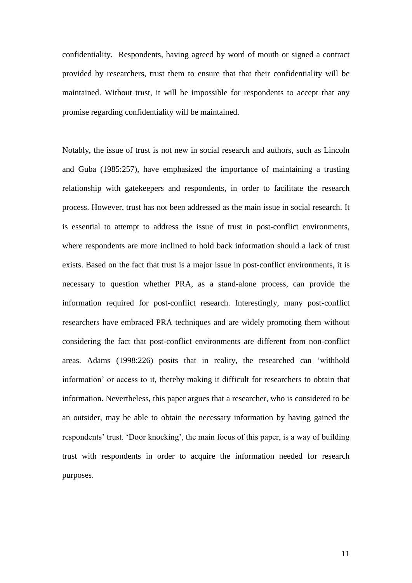confidentiality. Respondents, having agreed by word of mouth or signed a contract provided by researchers, trust them to ensure that that their confidentiality will be maintained. Without trust, it will be impossible for respondents to accept that any promise regarding confidentiality will be maintained.

Notably, the issue of trust is not new in social research and authors, such as Lincoln and Guba (1985:257), have emphasized the importance of maintaining a trusting relationship with gatekeepers and respondents, in order to facilitate the research process. However, trust has not been addressed as the main issue in social research. It is essential to attempt to address the issue of trust in post-conflict environments, where respondents are more inclined to hold back information should a lack of trust exists. Based on the fact that trust is a major issue in post-conflict environments, it is necessary to question whether PRA, as a stand-alone process, can provide the information required for post-conflict research. Interestingly, many post-conflict researchers have embraced PRA techniques and are widely promoting them without considering the fact that post-conflict environments are different from non-conflict areas. Adams (1998:226) posits that in reality, the researched can "withhold information" or access to it, thereby making it difficult for researchers to obtain that information. Nevertheless, this paper argues that a researcher, who is considered to be an outsider, may be able to obtain the necessary information by having gained the respondents" trust. "Door knocking", the main focus of this paper, is a way of building trust with respondents in order to acquire the information needed for research purposes.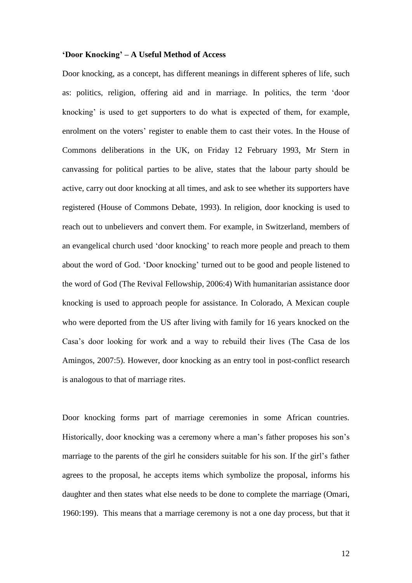#### **'Door Knocking' – A Useful Method of Access**

Door knocking, as a concept, has different meanings in different spheres of life, such as: politics, religion, offering aid and in marriage. In politics, the term "door knocking' is used to get supporters to do what is expected of them, for example, enrolment on the voters' register to enable them to cast their votes. In the House of Commons deliberations in the UK, on Friday 12 February 1993, Mr Stern in canvassing for political parties to be alive, states that the labour party should be active, carry out door knocking at all times, and ask to see whether its supporters have registered (House of Commons Debate, 1993). In religion, door knocking is used to reach out to unbelievers and convert them. For example, in Switzerland, members of an evangelical church used "door knocking" to reach more people and preach to them about the word of God. "Door knocking" turned out to be good and people listened to the word of God (The Revival Fellowship, 2006:4) With humanitarian assistance door knocking is used to approach people for assistance. In Colorado, A Mexican couple who were deported from the US after living with family for 16 years knocked on the Casa"s door looking for work and a way to rebuild their lives (The Casa de los Amingos, 2007:5). However, door knocking as an entry tool in post-conflict research is analogous to that of marriage rites.

Door knocking forms part of marriage ceremonies in some African countries. Historically, door knocking was a ceremony where a man"s father proposes his son"s marriage to the parents of the girl he considers suitable for his son. If the girl"s father agrees to the proposal, he accepts items which symbolize the proposal, informs his daughter and then states what else needs to be done to complete the marriage (Omari, 1960:199). This means that a marriage ceremony is not a one day process, but that it

12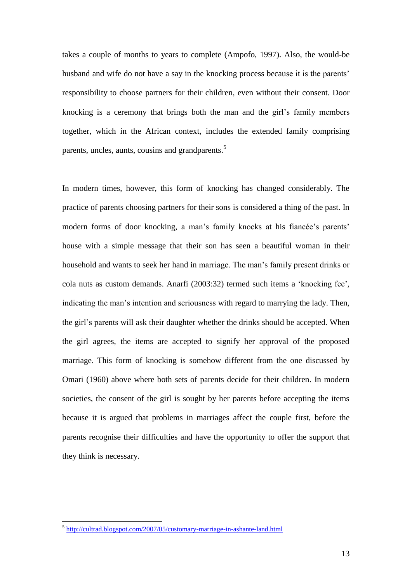takes a couple of months to years to complete (Ampofo, 1997). Also, the would-be husband and wife do not have a say in the knocking process because it is the parents' responsibility to choose partners for their children, even without their consent. Door knocking is a ceremony that brings both the man and the girl"s family members together, which in the African context, includes the extended family comprising parents, uncles, aunts, cousins and grandparents.<sup>5</sup>

In modern times, however, this form of knocking has changed considerably. The practice of parents choosing partners for their sons is considered a thing of the past. In modern forms of door knocking, a man's family knocks at his fiancée's parents' house with a simple message that their son has seen a beautiful woman in their household and wants to seek her hand in marriage. The man"s family present drinks or cola nuts as custom demands. Anarfi (2003:32) termed such items a "knocking fee", indicating the man's intention and seriousness with regard to marrying the lady. Then, the girl"s parents will ask their daughter whether the drinks should be accepted. When the girl agrees, the items are accepted to signify her approval of the proposed marriage. This form of knocking is somehow different from the one discussed by Omari (1960) above where both sets of parents decide for their children. In modern societies, the consent of the girl is sought by her parents before accepting the items because it is argued that problems in marriages affect the couple first, before the parents recognise their difficulties and have the opportunity to offer the support that they think is necessary.

 5 <http://cultrad.blogspot.com/2007/05/customary-marriage-in-ashante-land.html>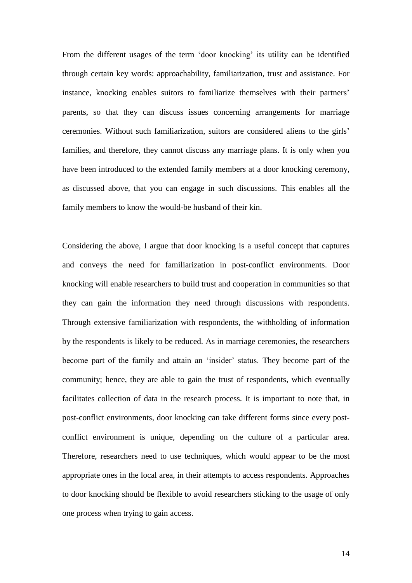From the different usages of the term 'door knocking' its utility can be identified through certain key words: approachability, familiarization, trust and assistance. For instance, knocking enables suitors to familiarize themselves with their partners' parents, so that they can discuss issues concerning arrangements for marriage ceremonies. Without such familiarization, suitors are considered aliens to the girls" families, and therefore, they cannot discuss any marriage plans. It is only when you have been introduced to the extended family members at a door knocking ceremony, as discussed above, that you can engage in such discussions. This enables all the family members to know the would-be husband of their kin.

Considering the above, I argue that door knocking is a useful concept that captures and conveys the need for familiarization in post-conflict environments. Door knocking will enable researchers to build trust and cooperation in communities so that they can gain the information they need through discussions with respondents. Through extensive familiarization with respondents, the withholding of information by the respondents is likely to be reduced. As in marriage ceremonies, the researchers become part of the family and attain an "insider" status. They become part of the community; hence, they are able to gain the trust of respondents, which eventually facilitates collection of data in the research process. It is important to note that, in post-conflict environments, door knocking can take different forms since every postconflict environment is unique, depending on the culture of a particular area. Therefore, researchers need to use techniques, which would appear to be the most appropriate ones in the local area, in their attempts to access respondents. Approaches to door knocking should be flexible to avoid researchers sticking to the usage of only one process when trying to gain access.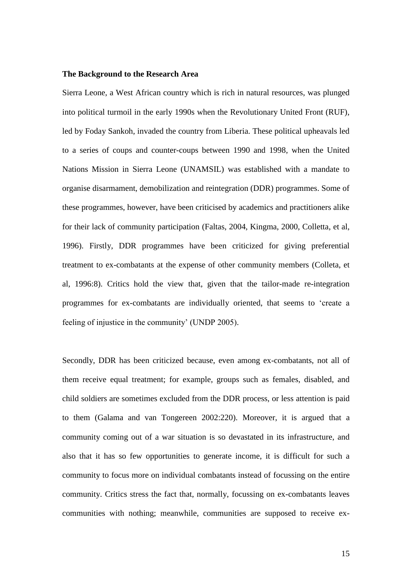#### **The Background to the Research Area**

Sierra Leone, a West African country which is rich in natural resources, was plunged into political turmoil in the early 1990s when the Revolutionary United Front (RUF), led by Foday Sankoh, invaded the country from Liberia. These political upheavals led to a series of coups and counter-coups between 1990 and 1998, when the United Nations Mission in Sierra Leone (UNAMSIL) was established with a mandate to organise disarmament, demobilization and reintegration (DDR) programmes. Some of these programmes, however, have been criticised by academics and practitioners alike for their lack of community participation (Faltas, 2004, Kingma, 2000, Colletta, et al, 1996). Firstly, DDR programmes have been criticized for giving preferential treatment to ex-combatants at the expense of other community members (Colleta, et al, 1996:8). Critics hold the view that, given that the tailor-made re-integration programmes for ex-combatants are individually oriented, that seems to "create a feeling of injustice in the community" (UNDP 2005).

Secondly, DDR has been criticized because, even among ex-combatants, not all of them receive equal treatment; for example, groups such as females, disabled, and child soldiers are sometimes excluded from the DDR process, or less attention is paid to them (Galama and van Tongereen 2002:220). Moreover, it is argued that a community coming out of a war situation is so devastated in its infrastructure, and also that it has so few opportunities to generate income, it is difficult for such a community to focus more on individual combatants instead of focussing on the entire community. Critics stress the fact that, normally, focussing on ex-combatants leaves communities with nothing; meanwhile, communities are supposed to receive ex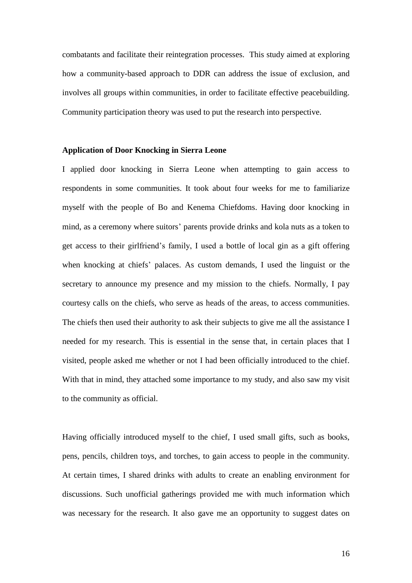combatants and facilitate their reintegration processes. This study aimed at exploring how a community-based approach to DDR can address the issue of exclusion, and involves all groups within communities, in order to facilitate effective peacebuilding. Community participation theory was used to put the research into perspective.

# **Application of Door Knocking in Sierra Leone**

I applied door knocking in Sierra Leone when attempting to gain access to respondents in some communities. It took about four weeks for me to familiarize myself with the people of Bo and Kenema Chiefdoms. Having door knocking in mind, as a ceremony where suitors" parents provide drinks and kola nuts as a token to get access to their girlfriend"s family, I used a bottle of local gin as a gift offering when knocking at chiefs' palaces. As custom demands, I used the linguist or the secretary to announce my presence and my mission to the chiefs. Normally, I pay courtesy calls on the chiefs, who serve as heads of the areas, to access communities. The chiefs then used their authority to ask their subjects to give me all the assistance I needed for my research. This is essential in the sense that, in certain places that I visited, people asked me whether or not I had been officially introduced to the chief. With that in mind, they attached some importance to my study, and also saw my visit to the community as official.

Having officially introduced myself to the chief, I used small gifts, such as books, pens, pencils, children toys, and torches, to gain access to people in the community. At certain times, I shared drinks with adults to create an enabling environment for discussions. Such unofficial gatherings provided me with much information which was necessary for the research. It also gave me an opportunity to suggest dates on

16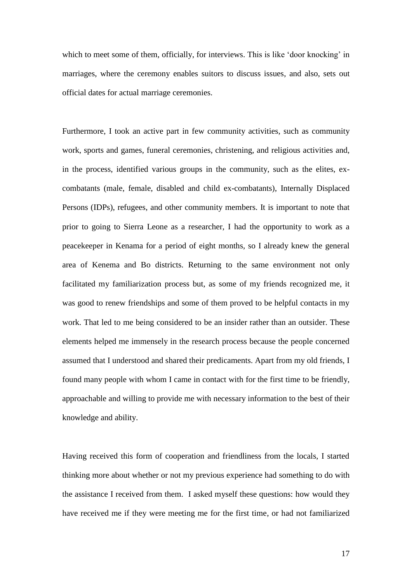which to meet some of them, officially, for interviews. This is like 'door knocking' in marriages, where the ceremony enables suitors to discuss issues, and also, sets out official dates for actual marriage ceremonies.

Furthermore, I took an active part in few community activities, such as community work, sports and games, funeral ceremonies, christening, and religious activities and, in the process, identified various groups in the community, such as the elites, excombatants (male, female, disabled and child ex-combatants), Internally Displaced Persons (IDPs), refugees, and other community members. It is important to note that prior to going to Sierra Leone as a researcher, I had the opportunity to work as a peacekeeper in Kenama for a period of eight months, so I already knew the general area of Kenema and Bo districts. Returning to the same environment not only facilitated my familiarization process but, as some of my friends recognized me, it was good to renew friendships and some of them proved to be helpful contacts in my work. That led to me being considered to be an insider rather than an outsider. These elements helped me immensely in the research process because the people concerned assumed that I understood and shared their predicaments. Apart from my old friends, I found many people with whom I came in contact with for the first time to be friendly, approachable and willing to provide me with necessary information to the best of their knowledge and ability.

Having received this form of cooperation and friendliness from the locals, I started thinking more about whether or not my previous experience had something to do with the assistance I received from them. I asked myself these questions: how would they have received me if they were meeting me for the first time, or had not familiarized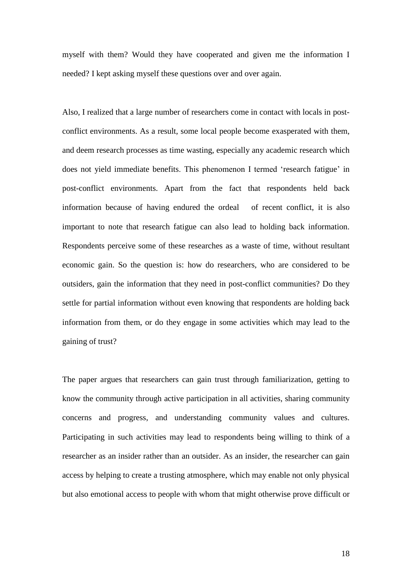myself with them? Would they have cooperated and given me the information I needed? I kept asking myself these questions over and over again.

Also, I realized that a large number of researchers come in contact with locals in postconflict environments. As a result, some local people become exasperated with them, and deem research processes as time wasting, especially any academic research which does not yield immediate benefits. This phenomenon I termed "research fatigue" in post-conflict environments. Apart from the fact that respondents held back information because of having endured the ordeal of recent conflict, it is also important to note that research fatigue can also lead to holding back information. Respondents perceive some of these researches as a waste of time, without resultant economic gain. So the question is: how do researchers, who are considered to be outsiders, gain the information that they need in post-conflict communities? Do they settle for partial information without even knowing that respondents are holding back information from them, or do they engage in some activities which may lead to the gaining of trust?

The paper argues that researchers can gain trust through familiarization, getting to know the community through active participation in all activities, sharing community concerns and progress, and understanding community values and cultures. Participating in such activities may lead to respondents being willing to think of a researcher as an insider rather than an outsider. As an insider, the researcher can gain access by helping to create a trusting atmosphere, which may enable not only physical but also emotional access to people with whom that might otherwise prove difficult or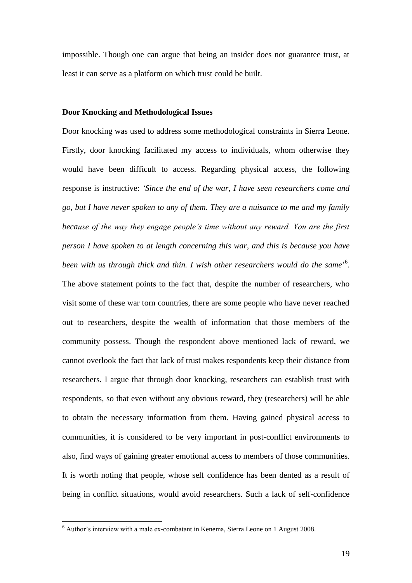impossible. Though one can argue that being an insider does not guarantee trust, at least it can serve as a platform on which trust could be built.

#### **Door Knocking and Methodological Issues**

Door knocking was used to address some methodological constraints in Sierra Leone. Firstly, door knocking facilitated my access to individuals, whom otherwise they would have been difficult to access. Regarding physical access, the following response is instructive: *'Since the end of the war, I have seen researchers come and go, but I have never spoken to any of them. They are a nuisance to me and my family because of the way they engage people's time without any reward. You are the first person I have spoken to at length concerning this war, and this is because you have*  been with us through thick and thin. I wish other researchers would do the same<sup>56</sup>. The above statement points to the fact that, despite the number of researchers, who visit some of these war torn countries, there are some people who have never reached out to researchers, despite the wealth of information that those members of the community possess. Though the respondent above mentioned lack of reward, we cannot overlook the fact that lack of trust makes respondents keep their distance from researchers. I argue that through door knocking, researchers can establish trust with respondents, so that even without any obvious reward, they (researchers) will be able to obtain the necessary information from them. Having gained physical access to communities, it is considered to be very important in post-conflict environments to also, find ways of gaining greater emotional access to members of those communities. It is worth noting that people, whose self confidence has been dented as a result of being in conflict situations, would avoid researchers. Such a lack of self-confidence

1

 $6$  Author's interview with a male ex-combatant in Kenema, Sierra Leone on 1 August 2008.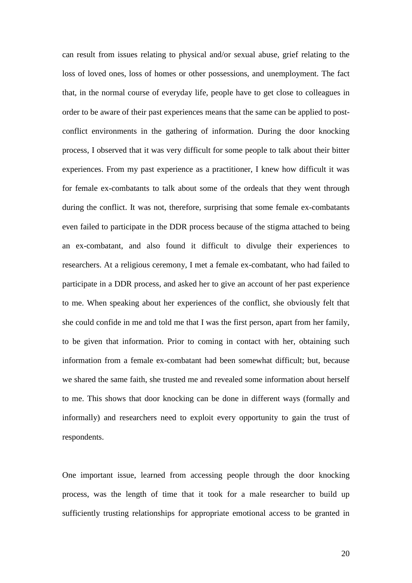can result from issues relating to physical and/or sexual abuse, grief relating to the loss of loved ones, loss of homes or other possessions, and unemployment. The fact that, in the normal course of everyday life, people have to get close to colleagues in order to be aware of their past experiences means that the same can be applied to postconflict environments in the gathering of information. During the door knocking process, I observed that it was very difficult for some people to talk about their bitter experiences. From my past experience as a practitioner, I knew how difficult it was for female ex-combatants to talk about some of the ordeals that they went through during the conflict. It was not, therefore, surprising that some female ex-combatants even failed to participate in the DDR process because of the stigma attached to being an ex-combatant, and also found it difficult to divulge their experiences to researchers. At a religious ceremony, I met a female ex-combatant, who had failed to participate in a DDR process, and asked her to give an account of her past experience to me. When speaking about her experiences of the conflict, she obviously felt that she could confide in me and told me that I was the first person, apart from her family, to be given that information. Prior to coming in contact with her, obtaining such information from a female ex-combatant had been somewhat difficult; but, because we shared the same faith, she trusted me and revealed some information about herself to me. This shows that door knocking can be done in different ways (formally and informally) and researchers need to exploit every opportunity to gain the trust of respondents.

One important issue, learned from accessing people through the door knocking process, was the length of time that it took for a male researcher to build up sufficiently trusting relationships for appropriate emotional access to be granted in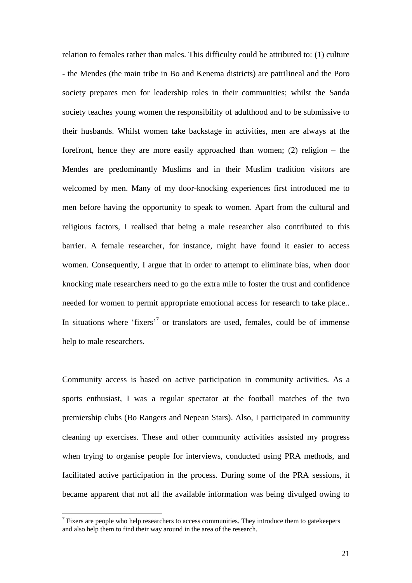relation to females rather than males. This difficulty could be attributed to: (1) culture - the Mendes (the main tribe in Bo and Kenema districts) are patrilineal and the Poro society prepares men for leadership roles in their communities; whilst the Sanda society teaches young women the responsibility of adulthood and to be submissive to their husbands. Whilst women take backstage in activities, men are always at the forefront, hence they are more easily approached than women; (2) religion – the Mendes are predominantly Muslims and in their Muslim tradition visitors are welcomed by men. Many of my door-knocking experiences first introduced me to men before having the opportunity to speak to women. Apart from the cultural and religious factors, I realised that being a male researcher also contributed to this barrier. A female researcher, for instance, might have found it easier to access women. Consequently, I argue that in order to attempt to eliminate bias, when door knocking male researchers need to go the extra mile to foster the trust and confidence needed for women to permit appropriate emotional access for research to take place.. In situations where 'fixers'<sup>7</sup> or translators are used, females, could be of immense help to male researchers.

Community access is based on active participation in community activities. As a sports enthusiast, I was a regular spectator at the football matches of the two premiership clubs (Bo Rangers and Nepean Stars). Also, I participated in community cleaning up exercises. These and other community activities assisted my progress when trying to organise people for interviews, conducted using PRA methods, and facilitated active participation in the process. During some of the PRA sessions, it became apparent that not all the available information was being divulged owing to

<u>.</u>

 $<sup>7</sup>$  Fixers are people who help researchers to access communities. They introduce them to gatekeepers</sup> and also help them to find their way around in the area of the research.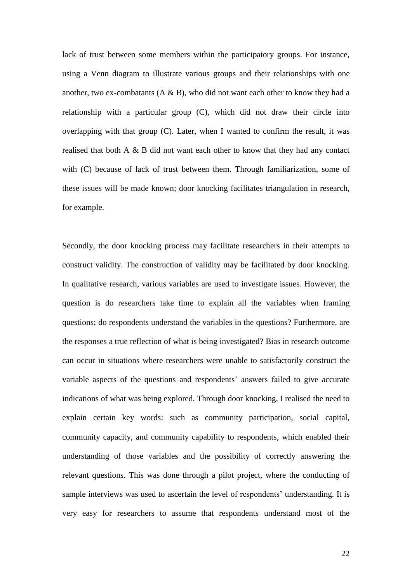lack of trust between some members within the participatory groups. For instance, using a Venn diagram to illustrate various groups and their relationships with one another, two ex-combatants  $(A \& B)$ , who did not want each other to know they had a relationship with a particular group (C), which did not draw their circle into overlapping with that group (C). Later, when I wanted to confirm the result, it was realised that both A & B did not want each other to know that they had any contact with (C) because of lack of trust between them. Through familiarization, some of these issues will be made known; door knocking facilitates triangulation in research, for example.

Secondly, the door knocking process may facilitate researchers in their attempts to construct validity. The construction of validity may be facilitated by door knocking. In qualitative research, various variables are used to investigate issues. However, the question is do researchers take time to explain all the variables when framing questions; do respondents understand the variables in the questions? Furthermore, are the responses a true reflection of what is being investigated? Bias in research outcome can occur in situations where researchers were unable to satisfactorily construct the variable aspects of the questions and respondents' answers failed to give accurate indications of what was being explored. Through door knocking, I realised the need to explain certain key words: such as community participation, social capital, community capacity, and community capability to respondents, which enabled their understanding of those variables and the possibility of correctly answering the relevant questions. This was done through a pilot project, where the conducting of sample interviews was used to ascertain the level of respondents' understanding. It is very easy for researchers to assume that respondents understand most of the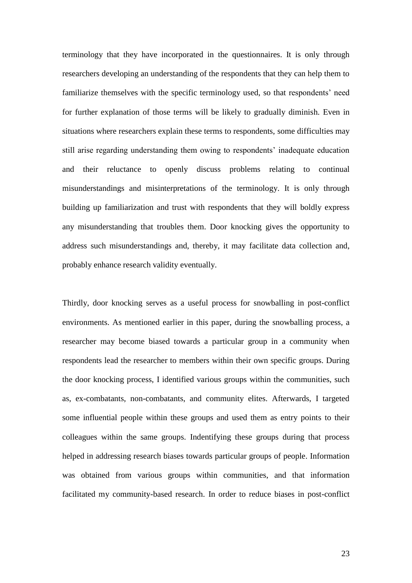terminology that they have incorporated in the questionnaires. It is only through researchers developing an understanding of the respondents that they can help them to familiarize themselves with the specific terminology used, so that respondents' need for further explanation of those terms will be likely to gradually diminish. Even in situations where researchers explain these terms to respondents, some difficulties may still arise regarding understanding them owing to respondents' inadequate education and their reluctance to openly discuss problems relating to continual misunderstandings and misinterpretations of the terminology. It is only through building up familiarization and trust with respondents that they will boldly express any misunderstanding that troubles them. Door knocking gives the opportunity to address such misunderstandings and, thereby, it may facilitate data collection and, probably enhance research validity eventually.

Thirdly, door knocking serves as a useful process for snowballing in post-conflict environments. As mentioned earlier in this paper, during the snowballing process, a researcher may become biased towards a particular group in a community when respondents lead the researcher to members within their own specific groups. During the door knocking process, I identified various groups within the communities, such as, ex-combatants, non-combatants, and community elites. Afterwards, I targeted some influential people within these groups and used them as entry points to their colleagues within the same groups. Indentifying these groups during that process helped in addressing research biases towards particular groups of people. Information was obtained from various groups within communities, and that information facilitated my community-based research. In order to reduce biases in post-conflict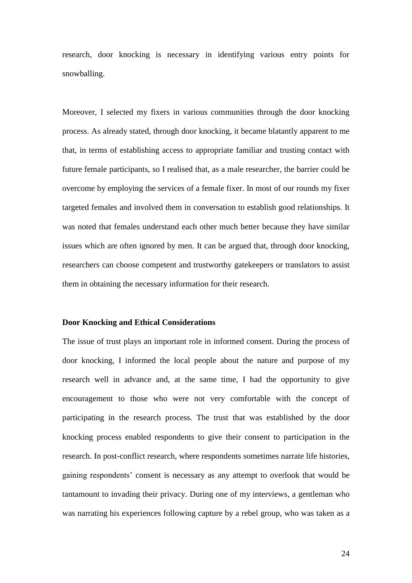research, door knocking is necessary in identifying various entry points for snowballing.

Moreover, I selected my fixers in various communities through the door knocking process. As already stated, through door knocking, it became blatantly apparent to me that, in terms of establishing access to appropriate familiar and trusting contact with future female participants, so I realised that, as a male researcher, the barrier could be overcome by employing the services of a female fixer. In most of our rounds my fixer targeted females and involved them in conversation to establish good relationships. It was noted that females understand each other much better because they have similar issues which are often ignored by men. It can be argued that, through door knocking, researchers can choose competent and trustworthy gatekeepers or translators to assist them in obtaining the necessary information for their research.

#### **Door Knocking and Ethical Considerations**

The issue of trust plays an important role in informed consent. During the process of door knocking, I informed the local people about the nature and purpose of my research well in advance and, at the same time, I had the opportunity to give encouragement to those who were not very comfortable with the concept of participating in the research process. The trust that was established by the door knocking process enabled respondents to give their consent to participation in the research. In post-conflict research, where respondents sometimes narrate life histories, gaining respondents" consent is necessary as any attempt to overlook that would be tantamount to invading their privacy. During one of my interviews, a gentleman who was narrating his experiences following capture by a rebel group, who was taken as a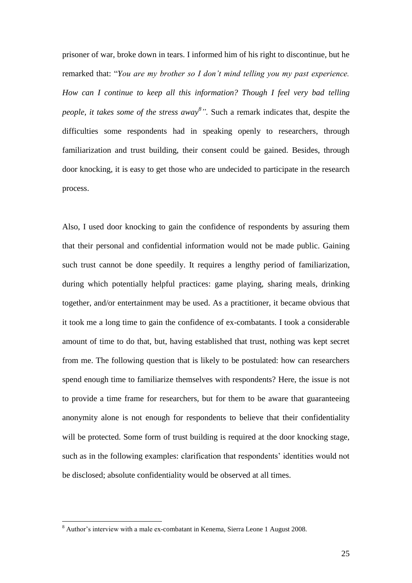prisoner of war, broke down in tears. I informed him of his right to discontinue, but he remarked that: "*You are my brother so I don't mind telling you my past experience. How can I continue to keep all this information? Though I feel very bad telling people, it takes some of the stress away<sup>8</sup> ".* Such a remark indicates that, despite the difficulties some respondents had in speaking openly to researchers, through familiarization and trust building, their consent could be gained. Besides, through door knocking, it is easy to get those who are undecided to participate in the research process.

Also, I used door knocking to gain the confidence of respondents by assuring them that their personal and confidential information would not be made public. Gaining such trust cannot be done speedily. It requires a lengthy period of familiarization, during which potentially helpful practices: game playing, sharing meals, drinking together, and/or entertainment may be used. As a practitioner, it became obvious that it took me a long time to gain the confidence of ex-combatants. I took a considerable amount of time to do that, but, having established that trust, nothing was kept secret from me. The following question that is likely to be postulated: how can researchers spend enough time to familiarize themselves with respondents? Here, the issue is not to provide a time frame for researchers, but for them to be aware that guaranteeing anonymity alone is not enough for respondents to believe that their confidentiality will be protected. Some form of trust building is required at the door knocking stage, such as in the following examples: clarification that respondents" identities would not be disclosed; absolute confidentiality would be observed at all times.

1

<sup>&</sup>lt;sup>8</sup> Author's interview with a male ex-combatant in Kenema, Sierra Leone 1 August 2008.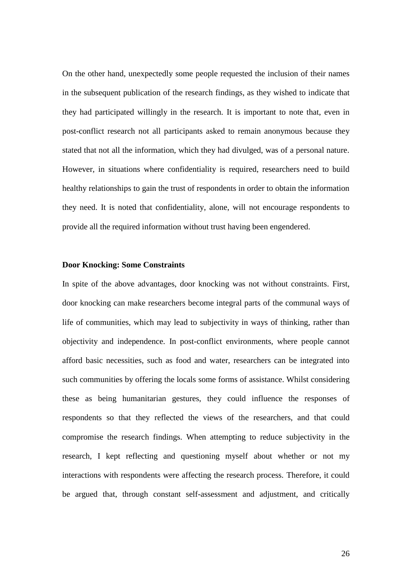On the other hand, unexpectedly some people requested the inclusion of their names in the subsequent publication of the research findings, as they wished to indicate that they had participated willingly in the research. It is important to note that, even in post-conflict research not all participants asked to remain anonymous because they stated that not all the information, which they had divulged, was of a personal nature. However, in situations where confidentiality is required, researchers need to build healthy relationships to gain the trust of respondents in order to obtain the information they need. It is noted that confidentiality, alone, will not encourage respondents to provide all the required information without trust having been engendered.

### **Door Knocking: Some Constraints**

In spite of the above advantages, door knocking was not without constraints. First, door knocking can make researchers become integral parts of the communal ways of life of communities, which may lead to subjectivity in ways of thinking, rather than objectivity and independence. In post-conflict environments, where people cannot afford basic necessities, such as food and water, researchers can be integrated into such communities by offering the locals some forms of assistance. Whilst considering these as being humanitarian gestures, they could influence the responses of respondents so that they reflected the views of the researchers, and that could compromise the research findings. When attempting to reduce subjectivity in the research, I kept reflecting and questioning myself about whether or not my interactions with respondents were affecting the research process. Therefore, it could be argued that, through constant self-assessment and adjustment, and critically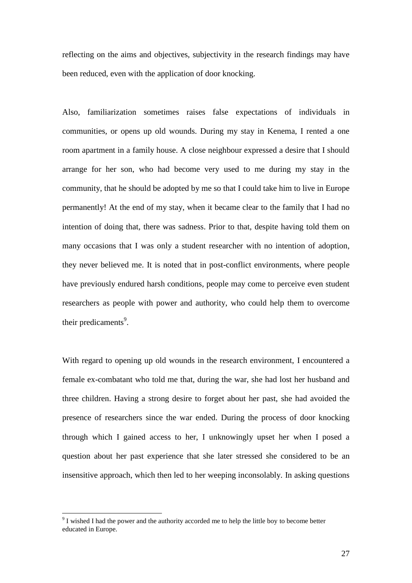reflecting on the aims and objectives, subjectivity in the research findings may have been reduced, even with the application of door knocking.

Also, familiarization sometimes raises false expectations of individuals in communities, or opens up old wounds. During my stay in Kenema, I rented a one room apartment in a family house. A close neighbour expressed a desire that I should arrange for her son, who had become very used to me during my stay in the community, that he should be adopted by me so that I could take him to live in Europe permanently! At the end of my stay, when it became clear to the family that I had no intention of doing that, there was sadness. Prior to that, despite having told them on many occasions that I was only a student researcher with no intention of adoption, they never believed me. It is noted that in post-conflict environments, where people have previously endured harsh conditions, people may come to perceive even student researchers as people with power and authority, who could help them to overcome their predicaments<sup>9</sup>.

With regard to opening up old wounds in the research environment, I encountered a female ex-combatant who told me that, during the war, she had lost her husband and three children. Having a strong desire to forget about her past, she had avoided the presence of researchers since the war ended. During the process of door knocking through which I gained access to her, I unknowingly upset her when I posed a question about her past experience that she later stressed she considered to be an insensitive approach, which then led to her weeping inconsolably. In asking questions

<u>.</u>

 $9<sup>9</sup>$  I wished I had the power and the authority accorded me to help the little boy to become better educated in Europe.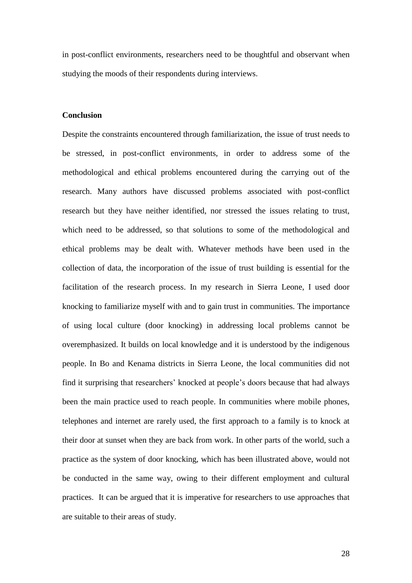in post-conflict environments, researchers need to be thoughtful and observant when studying the moods of their respondents during interviews.

#### **Conclusion**

Despite the constraints encountered through familiarization, the issue of trust needs to be stressed, in post-conflict environments, in order to address some of the methodological and ethical problems encountered during the carrying out of the research. Many authors have discussed problems associated with post-conflict research but they have neither identified, nor stressed the issues relating to trust, which need to be addressed, so that solutions to some of the methodological and ethical problems may be dealt with. Whatever methods have been used in the collection of data, the incorporation of the issue of trust building is essential for the facilitation of the research process. In my research in Sierra Leone, I used door knocking to familiarize myself with and to gain trust in communities. The importance of using local culture (door knocking) in addressing local problems cannot be overemphasized. It builds on local knowledge and it is understood by the indigenous people. In Bo and Kenama districts in Sierra Leone, the local communities did not find it surprising that researchers" knocked at people"s doors because that had always been the main practice used to reach people. In communities where mobile phones, telephones and internet are rarely used, the first approach to a family is to knock at their door at sunset when they are back from work. In other parts of the world, such a practice as the system of door knocking, which has been illustrated above, would not be conducted in the same way, owing to their different employment and cultural practices. It can be argued that it is imperative for researchers to use approaches that are suitable to their areas of study.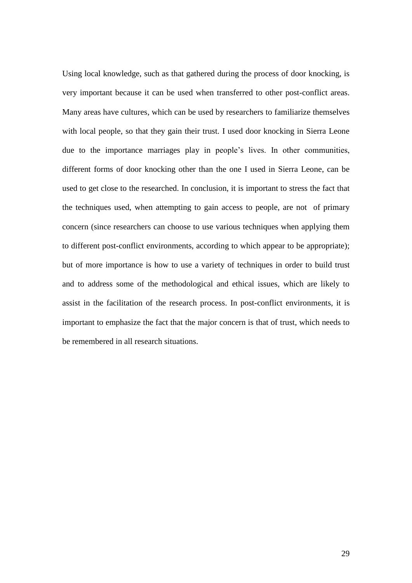Using local knowledge, such as that gathered during the process of door knocking, is very important because it can be used when transferred to other post-conflict areas. Many areas have cultures, which can be used by researchers to familiarize themselves with local people, so that they gain their trust. I used door knocking in Sierra Leone due to the importance marriages play in people's lives. In other communities, different forms of door knocking other than the one I used in Sierra Leone, can be used to get close to the researched. In conclusion, it is important to stress the fact that the techniques used, when attempting to gain access to people, are not of primary concern (since researchers can choose to use various techniques when applying them to different post-conflict environments, according to which appear to be appropriate); but of more importance is how to use a variety of techniques in order to build trust and to address some of the methodological and ethical issues, which are likely to assist in the facilitation of the research process. In post-conflict environments, it is important to emphasize the fact that the major concern is that of trust, which needs to be remembered in all research situations.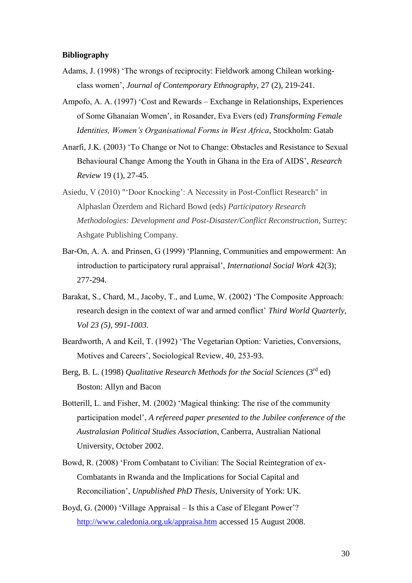### **Bibliography**

- Adams, J. (1998) "The wrongs of reciprocity: Fieldwork among Chilean workingclass women", *Journal of Contemporary Ethnography*, 27 (2), 219-241.
- Ampofo, A. A. (1997) "Cost and Rewards Exchange in Relationships, Experiences of Some Ghanaian Women", in Rosander, Eva Evers (ed) *Transforming Female Identities, Women's Organisational Forms in West Africa*, Stockholm: Gatab
- Anarfi, J.K. (2003) "To Change or Not to Change: Obstacles and Resistance to Sexual Behavioural Change Among the Youth in Ghana in the Era of AIDS", *Research Review* 19 (1), 27-45.
- Asiedu, V (2010) ""Door Knocking": A Necessity in Post-Conflict Research" in Alphaslan Özerdem and Richard Bowd (eds) *Participatory Research Methodologies: Development and Post-Disaster/Conflict Reconstruction,* Surrey: Ashgate Publishing Company.
- Bar-On, A. A. and Prinsen, G (1999) "Planning, Communities and empowerment: An introduction to participatory rural appraisal", *International Social Work* 42(3); 277-294.
- Barakat, S., Chard, M., Jacoby, T., and Lume, W. (2002) "The Composite Approach: research design in the context of war and armed conflict' *Third World Quarterly*, *Vol 23 (5), 991-1003*.
- Beardworth, A and Keil, T. (1992) "The Vegetarian Option: Varieties, Conversions, Motives and Careers", Sociological Review, 40, 253-93.
- Berg, B. L. (1998) *Qualitative Research Methods for the Social Sciences* (3<sup>rd</sup> ed) Boston: Allyn and Bacon
- Botterill, L. and Fisher, M. (2002) "Magical thinking: The rise of the community participation model", *A refereed paper presented to the Jubilee conference of the Australasian Political Studies Association*, Canberra, Australian National University, October 2002.
- Bowd, R. (2008) "From Combatant to Civilian: The Social Reintegration of ex-Combatants in Rwanda and the Implications for Social Capital and Reconciliation", *Unpublished PhD Thesis*, University of York: UK.
- Boyd, G. (2000) 'Village Appraisal Is this a Case of Elegant Power'? <http://www.caledonia.org.uk/appraisa.htm> accessed 15 August 2008.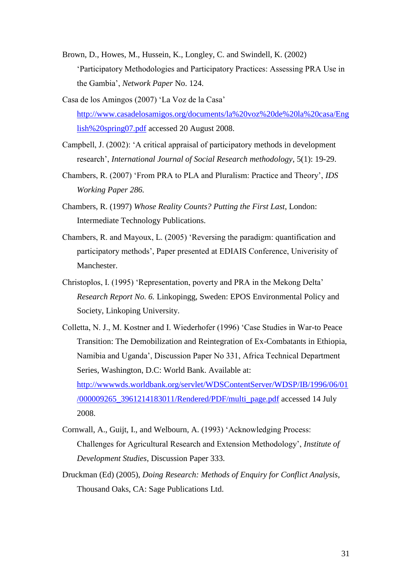- Brown, D., Howes, M., Hussein, K., Longley, C. and Swindell, K. (2002) "Participatory Methodologies and Participatory Practices: Assessing PRA Use in the Gambia", *Network Paper* No. 124.
- Casa de los Amingos (2007) "La Voz de la Casa" [http://www.casadelosamigos.org/documents/la%20voz%20de%20la%20casa/Eng](http://www.casadelosamigos.org/documents/la%20voz%20de%20la%20casa/English%20spring07.pdf) [lish%20spring07.pdf](http://www.casadelosamigos.org/documents/la%20voz%20de%20la%20casa/English%20spring07.pdf) accessed 20 August 2008.
- Campbell, J. (2002): "A critical appraisal of participatory methods in development research", *International Journal of Social Research methodology*, 5(1): 19-29.
- Chambers, R. (2007) "From PRA to PLA and Pluralism: Practice and Theory", *IDS Working Paper 286.*
- Chambers, R. (1997) *Whose Reality Counts? Putting the First Last*, London: Intermediate Technology Publications.
- Chambers, R. and Mayoux, L. (2005) "Reversing the paradigm: quantification and participatory methods", Paper presented at EDIAIS Conference, Univerisity of Manchester.
- Christoplos, I. (1995) "Representation, poverty and PRA in the Mekong Delta" *Research Report No. 6.* Linkopingg, Sweden: EPOS Environmental Policy and Society, Linkoping University.
- Colletta, N. J., M. Kostner and I. Wiederhofer (1996) "Case Studies in War-to Peace Transition: The Demobilization and Reintegration of Ex-Combatants in Ethiopia, Namibia and Uganda", Discussion Paper No 331, Africa Technical Department Series, Washington, D.C: World Bank. Available at: [http://wwwwds.worldbank.org/servlet/WDSContentServer/WDSP/IB/1996/06/01](http://wwwwds.worldbank.org/servlet/WDSContentServer/WDSP/IB/1996/06/01/000009265_3961214183011/Rendered/PDF/multi_page.pdf) [/000009265\\_3961214183011/Rendered/PDF/multi\\_page.pdf](http://wwwwds.worldbank.org/servlet/WDSContentServer/WDSP/IB/1996/06/01/000009265_3961214183011/Rendered/PDF/multi_page.pdf) accessed 14 July 2008.
- Cornwall, A., Guijt, I., and Welbourn, A. (1993) "Acknowledging Process: Challenges for Agricultural Research and Extension Methodology", *Institute of Development Studies*, Discussion Paper 333.
- Druckman (Ed) (2005), *Doing Research: Methods of Enquiry for Conflict Analysis*, Thousand Oaks, CA: Sage Publications Ltd.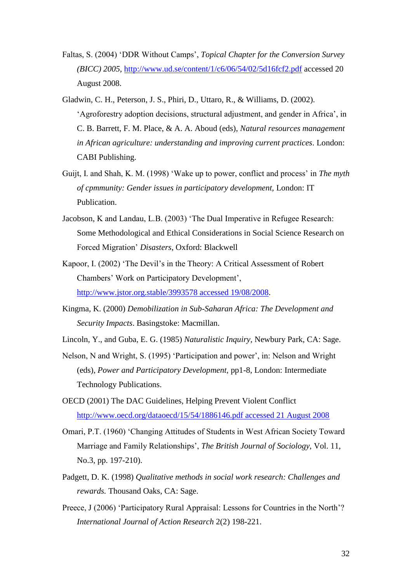- Faltas, S. (2004) "DDR Without Camps", *Topical Chapter for the Conversion Survey (BICC) 2005,* <http://www.ud.se/content/1/c6/06/54/02/5d16fcf2.pdf> accessed 20 August 2008.
- Gladwin, C. H., Peterson, J. S., Phiri, D., Uttaro, R., & Williams, D. (2002). "Agroforestry adoption decisions, structural adjustment, and gender in Africa", in C. B. Barrett, F. M. Place, & A. A. Aboud (eds), *Natural resources management in African agriculture: understanding and improving current practices*. London: CABI Publishing.
- Guijt, I. and Shah, K. M. (1998) 'Wake up to power, conflict and process' in *The myth of cpmmunity: Gender issues in participatory development,* London: IT Publication.
- Jacobson, K and Landau, L.B. (2003) "The Dual Imperative in Refugee Research: Some Methodological and Ethical Considerations in Social Science Research on Forced Migration" *Disasters*, Oxford: Blackwell
- Kapoor, I. (2002) "The Devil"s in the Theory: A Critical Assessment of Robert Chambers" Work on Participatory Development", [http://www.jstor.org.stable/3993578 accessed 19/08/2008.](http://www.jstor.org.stable/3993578%20accessed%2019/08/2008)
- Kingma, K. (2000) *Demobilization in Sub-Saharan Africa: The Development and Security Impacts*. Basingstoke: Macmillan.
- Lincoln, Y., and Guba, E. G. (1985) *Naturalistic Inquiry,* Newbury Park, CA: Sage.
- Nelson, N and Wright, S. (1995) "Participation and power", in: Nelson and Wright (eds), *Power and Participatory Development,* pp1-8, London: Intermediate Technology Publications.
- OECD (2001) The DAC Guidelines, Helping Prevent Violent Conflict [http://www.oecd.org/dataoecd/15/54/1886146.pdf accessed 21 August 2008](http://www.oecd.org/dataoecd/15/54/1886146.pdf%20accessed%2021%20August%202008)
- Omari, P.T. (1960) "Changing Attitudes of Students in West African Society Toward Marriage and Family Relationships", *The British Journal of Sociology,* Vol. 11, No.3, pp. 197-210).
- Padgett, D. K. (1998) *Qualitative methods in social work research: Challenges and rewards.* Thousand Oaks, CA: Sage.
- Preece, J (2006) 'Participatory Rural Appraisal: Lessons for Countries in the North'? *International Journal of Action Research* 2(2) 198-221.